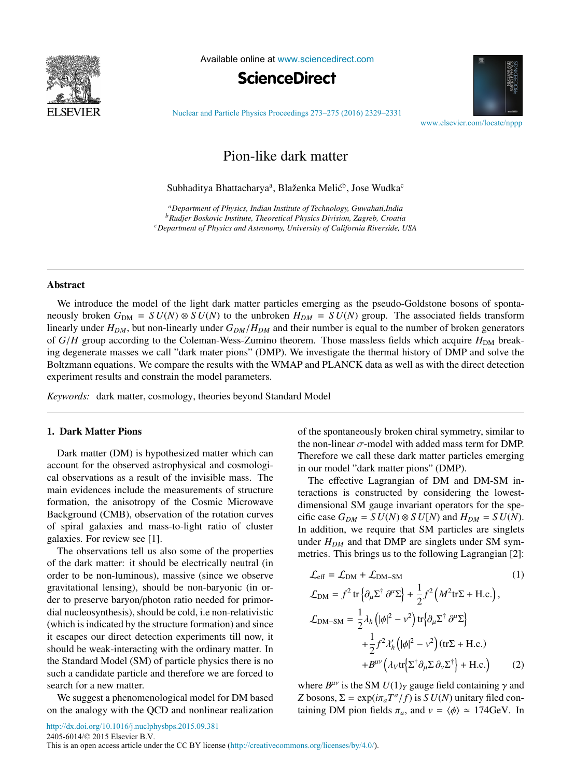

Available online at [www.sciencedirect.com](http://www.sciencedirect.com)





[Nuclear and Particle Physics Proceedings 273–275 \(2016\) 2329–2331](http://dx.doi.org/10.1016/j.nuclphysbps.2015.09.381)

[www.elsevier.com/locate/nppp](http://www.elsevier.com/locate/nppp)

# Pion-like dark matter

Subhaditya Bhattacharya<sup>a</sup>, Blaženka Melić<sup>b</sup>, Jose Wudka<sup>c</sup>

*aDepartment of Physics, Indian Institute of Technology, Guwahati,India bRudjer Boskovic Institute, Theoretical Physics Division, Zagreb, Croatia cDepartment of Physics and Astronomy, University of California Riverside, USA*

### Abstract

We introduce the model of the light dark matter particles emerging as the pseudo-Goldstone bosons of spontaneously broken  $G_{\text{DM}} = SU(N) \otimes SU(N)$  to the unbroken  $H_{DM} = SU(N)$  group. The associated fields transform linearly under  $H_{DM}$ , but non-linearly under  $G_{DM}/H_{DM}$  and their number is equal to the number of broken generators of *G*/*H* group according to the Coleman-Wess-Zumino theorem. Those massless fields which acquire  $H_{\text{DM}}$  breaking degenerate masses we call "dark mater pions" (DMP). We investigate the thermal history of DMP and solve the Boltzmann equations. We compare the results with the WMAP and PLANCK data as well as with the direct detection experiment results and constrain the model parameters.

*Keywords:* dark matter, cosmology, theories beyond Standard Model

#### 1. Dark Matter Pions

Dark matter (DM) is hypothesized matter which can account for the observed astrophysical and cosmological observations as a result of the invisible mass. The main evidences include the measurements of structure formation, the anisotropy of the Cosmic Microwave Background (CMB), observation of the rotation curves of spiral galaxies and mass-to-light ratio of cluster galaxies. For review see [1].

The observations tell us also some of the properties of the dark matter: it should be electrically neutral (in order to be non-luminous), massive (since we observe gravitational lensing), should be non-baryonic (in order to preserve baryon/photon ratio needed for primordial nucleosynthesis), should be cold, i.e non-relativistic (which is indicated by the structure formation) and since it escapes our direct detection experiments till now, it should be weak-interacting with the ordinary matter. In the Standard Model (SM) of particle physics there is no such a candidate particle and therefore we are forced to search for a new matter.

We suggest a phenomenological model for DM based on the analogy with the QCD and nonlinear realization

of the spontaneously broken chiral symmetry, similar to the non-linear  $\sigma$ -model with added mass term for DMP. Therefore we call these dark matter particles emerging in our model "dark matter pions" (DMP).

The effective Lagrangian of DM and DM-SM interactions is constructed by considering the lowestdimensional SM gauge invariant operators for the specific case  $G_{DM} = SU(N) \otimes SU(N)$  and  $H_{DM} = SU(N)$ . In addition, we require that SM particles are singlets under  $H_{DM}$  and that DMP are singlets under SM symmetries. This brings us to the following Lagrangian [2]:

$$
\mathcal{L}_{eff} = \mathcal{L}_{DM} + \mathcal{L}_{DM-SM}
$$
\n
$$
\mathcal{L}_{DM} = f^2 \text{ tr} \{ \partial_\mu \Sigma^\dagger \partial^\mu \Sigma \} + \frac{1}{2} f^2 \left( M^2 \text{tr} \Sigma + \text{H.c.} \right),
$$
\n
$$
\mathcal{L}_{DM-SM} = \frac{1}{2} \lambda_h \left( |\phi|^2 - v^2 \right) \text{tr} \{ \partial_\mu \Sigma^\dagger \partial^\mu \Sigma \} + \frac{1}{2} f^2 \lambda_h' \left( |\phi|^2 - v^2 \right) (\text{tr} \Sigma + \text{H.c.}) + B^{\mu \nu} \left( \lambda_V \text{tr} \{ \Sigma^\dagger \partial_\mu \Sigma \partial_\nu \Sigma^\dagger \} + \text{H.c.} \right) \tag{2}
$$

where  $B^{\mu\nu}$  is the SM  $U(1)_Y$  gauge field containing  $\gamma$  and *Z* bosons,  $\Sigma = \exp(i\pi_a T^a/f)$  is *S U(N)* unitary filed containing DM pion fields  $\pi_a$ , and  $v = \langle \phi \rangle \approx 174$ GeV. In

2405-6014/© 2015 Elsevier B.V.

This is an open access article under the CC BY license (<http://creativecommons.org/licenses/by/4.0/>).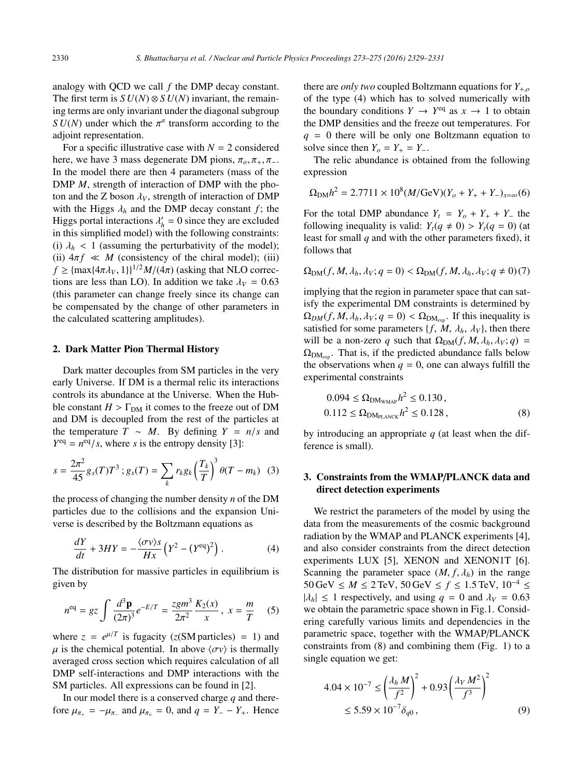analogy with QCD we call *f* the DMP decay constant. The first term is  $SU(N) \otimes SU(N)$  invariant, the remaining terms are only invariant under the diagonal subgroup *SU(N)* under which the  $\pi^a$  transform according to the adioint representation.

For a specific illustrative case with  $N = 2$  considered here, we have 3 mass degenerate DM pions,  $\pi_{0}, \pi_{+}, \pi_{-}$ . In the model there are then 4 parameters (mass of the DMP *M*, strength of interaction of DMP with the photon and the Z boson  $\lambda_V$ , strength of interaction of DMP with the Higgs  $\lambda_h$  and the DMP decay constant *f*; the Higgs portal interactions  $\lambda'_h = 0$  since they are excluded in this simplified model) with the following constraints: (i)  $\lambda_h$  < 1 (assuming the perturbativity of the model); (ii)  $4\pi f \ll M$  (consistency of the chiral model); (iii)  $f \geq {\max\{4\pi\lambda_V, 1\}\}^{1/2}M/(4\pi)$  (asking that NLO corrections are less than LO). In addition we take  $\lambda_V = 0.63$ (this parameter can change freely since its change can be compensated by the change of other parameters in the calculated scattering amplitudes).

#### 2. Dark Matter Pion Thermal History

Dark matter decouples from SM particles in the very early Universe. If DM is a thermal relic its interactions controls its abundance at the Universe. When the Hubble constant  $H > \Gamma_{DM}$  it comes to the freeze out of DM and DM is decoupled from the rest of the particles at the temperature  $T \sim M$ . By defining  $Y = n/s$  and  $Y^{eq} = n^{eq}/s$ , where *s* is the entropy density [3]:

$$
s = \frac{2\pi^2}{45} g_s(T) T^3 ; g_s(T) = \sum_k r_k g_k \left(\frac{T_k}{T}\right)^3 \theta(T - m_k) \tag{3}
$$

the process of changing the number density *n* of the DM particles due to the collisions and the expansion Universe is described by the Boltzmann equations as

$$
\frac{dY}{dt} + 3HY = -\frac{\langle \sigma v \rangle s}{Hx} \left( Y^2 - (Y^{\text{eq}})^2 \right). \tag{4}
$$

The distribution for massive particles in equilibrium is given by

$$
n^{\text{eq}} = gz \int \frac{d^3 \mathbf{p}}{(2\pi)^3} e^{-E/T} = \frac{zgm^3}{2\pi^2} \frac{K_2(x)}{x}, \ x = \frac{m}{T} \tag{5}
$$

where  $z = e^{\mu/T}$  is fugacity (*z*(SM particles) = 1) and  $\mu$  is the chemical potential. In above  $\langle \sigma v \rangle$  is thermally averaged cross section which requires calculation of all DMP self-interactions and DMP interactions with the SM particles. All expressions can be found in [2].

In our model there is a conserved charge *q* and therefore  $\mu_{\pi_+} = -\mu_{\pi_-}$  and  $\mu_{\pi_0} = 0$ , and  $q = Y_+ - Y_+$ . Hence

there are *only two* coupled Boltzmann equations for *Y*+,*<sup>o</sup>* of the type (4) which has to solved numerically with the boundary conditions  $Y \to Y^{eq}$  as  $x \to 1$  to obtain the DMP densities and the freeze out temperatures. For  $q = 0$  there will be only one Boltzmann equation to solve since then  $Y_o = Y_+ = Y_-$ .

The relic abundance is obtained from the following expression

$$
\Omega_{\rm DM} h^2 = 2.7711 \times 10^8 (M/\text{GeV})(Y_o + Y_+ + Y_-)_{x=\infty}(6)
$$

For the total DMP abundance  $Y_t = Y_o + Y_+ + Y_+$  the following inequality is valid:  $Y_t(q \neq 0) > Y_t(q = 0)$  (at least for small *q* and with the other parameters fixed), it follows that

$$
\Omega_{\text{DM}}(f, M, \lambda_h, \lambda_V; q = 0) < \Omega_{\text{DM}}(f, M, \lambda_h, \lambda_V; q \neq 0) \tag{7}
$$

implying that the region in parameter space that can satisfy the experimental DM constraints is determined by  $\Omega_{DM}(f, M, \lambda_h, \lambda_V; q = 0) < \Omega_{DM_{\text{env}}}$ . If this inequality is satisfied for some parameters  $\{f, M, \lambda_h, \lambda_V\}$ , then there will be a non-zero *q* such that  $\Omega_{DM}(f, M, \lambda_h, \lambda_V; q)$  =  $\Omega_{DM_{\text{syn}}}$ . That is, if the predicted abundance falls below the observations when  $q = 0$ , one can always fulfill the experimental constraints

$$
0.094 \le \Omega_{\text{DM}_{\text{WMAP}}} h^2 \le 0.130,
$$
  

$$
0.112 \le \Omega_{\text{DM}_{\text{PLANCK}}} h^2 \le 0.128,
$$
 (8)

by introducing an appropriate *q* (at least when the difference is small).

## 3. Constraints from the WMAP/PLANCK data and direct detection experiments

We restrict the parameters of the model by using the data from the measurements of the cosmic background radiation by the WMAP and PLANCK experiments [4], and also consider constraints from the direct detection experiments LUX [5], XENON and XENON1T [6]. Scanning the parameter space  $(M, f, \lambda_h)$  in the range 50 GeV  $\leq M \leq 2$  TeV, 50 GeV  $\leq f \leq 1.5$  TeV,  $10^{-4}$  ≤  $|\lambda_h| \leq 1$  respectively, and using  $q = 0$  and  $\lambda_V = 0.63$ we obtain the parametric space shown in Fig.1. Considering carefully various limits and dependencies in the parametric space, together with the WMAP/PLANCK constraints from (8) and combining them (Fig. 1) to a single equation we get:

$$
4.04 \times 10^{-7} \le \left(\frac{\lambda_h M}{f^2}\right)^2 + 0.93 \left(\frac{\lambda_V M^2}{f^3}\right)^2
$$
  
 
$$
\le 5.59 \times 10^{-7} \delta_{q0}, \qquad (9)
$$